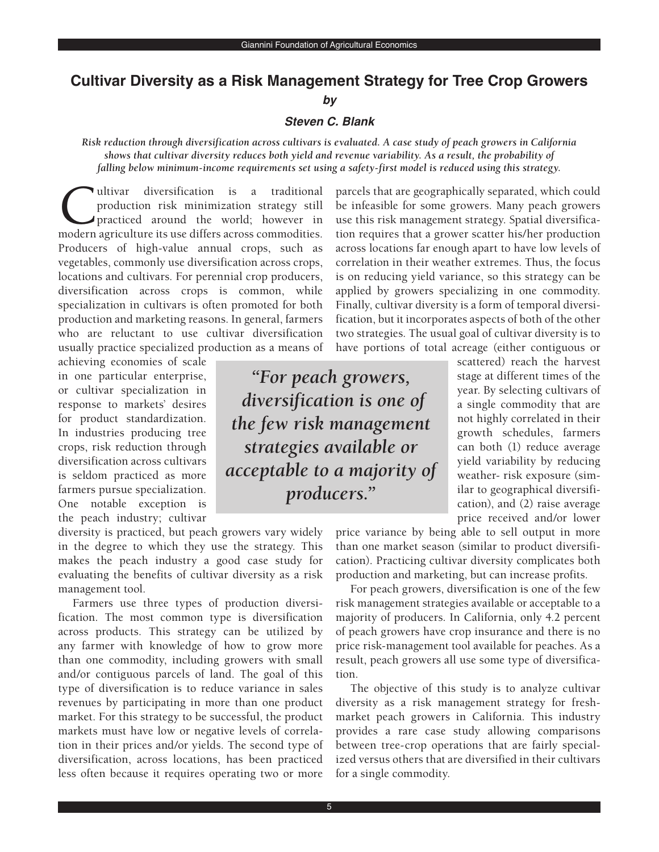# **Cultivar Diversity as a Risk Management Strategy for Tree Crop Growers**

**by**

### **Steven C. Blank**

*Risk reduction through diversification across cultivars is evaluated. A case study of peach growers in California shows that cultivar diversity reduces both yield and revenue variability. As a result, the probability of falling below minimum-income requirements set using a safety-first model is reduced using this strategy.*

Ultivar diversification is a traditional<br>production risk minimization strategy still<br>practiced around the world; however in<br>modern agriculture its use differs across commodities production risk minimization strategy still practiced around the world; however in modern agriculture its use differs across commodities. Producers of high-value annual crops, such as vegetables, commonly use diversification across crops, locations and cultivars. For perennial crop producers, diversification across crops is common, while specialization in cultivars is often promoted for both production and marketing reasons. In general, farmers who are reluctant to use cultivar diversification usually practice specialized production as a means of

achieving economies of scale in one particular enterprise, or cultivar specialization in response to markets' desires for product standardization. In industries producing tree crops, risk reduction through diversification across cultivars is seldom practiced as more farmers pursue specialization. One notable exception is the peach industry; cultivar

diversity is practiced, but peach growers vary widely in the degree to which they use the strategy. This makes the peach industry a good case study for evaluating the benefits of cultivar diversity as a risk management tool.

Farmers use three types of production diversification. The most common type is diversification across products. This strategy can be utilized by any farmer with knowledge of how to grow more than one commodity, including growers with small and/or contiguous parcels of land. The goal of this type of diversification is to reduce variance in sales revenues by participating in more than one product market. For this strategy to be successful, the product markets must have low or negative levels of correlation in their prices and/or yields. The second type of diversification, across locations, has been practiced less often because it requires operating two or more

parcels that are geographically separated, which could be infeasible for some growers. Many peach growers use this risk management strategy. Spatial diversification requires that a grower scatter his/her production across locations far enough apart to have low levels of correlation in their weather extremes. Thus, the focus is on reducing yield variance, so this strategy can be applied by growers specializing in one commodity. Finally, cultivar diversity is a form of temporal diversification, but it incorporates aspects of both of the other two strategies. The usual goal of cultivar diversity is to have portions of total acreage (either contiguous or

*"For peach growers, diversification is one of the few risk management strategies available or acceptable to a majority of producers."*

scattered) reach the harvest stage at different times of the year. By selecting cultivars of a single commodity that are not highly correlated in their growth schedules, farmers can both (1) reduce average yield variability by reducing weather- risk exposure (similar to geographical diversification), and (2) raise average price received and/or lower

price variance by being able to sell output in more than one market season (similar to product diversification). Practicing cultivar diversity complicates both production and marketing, but can increase profits.

For peach growers, diversification is one of the few risk management strategies available or acceptable to a majority of producers. In California, only 4.2 percent of peach growers have crop insurance and there is no price risk-management tool available for peaches. As a result, peach growers all use some type of diversification.

The objective of this study is to analyze cultivar diversity as a risk management strategy for freshmarket peach growers in California. This industry provides a rare case study allowing comparisons between tree-crop operations that are fairly specialized versus others that are diversified in their cultivars for a single commodity.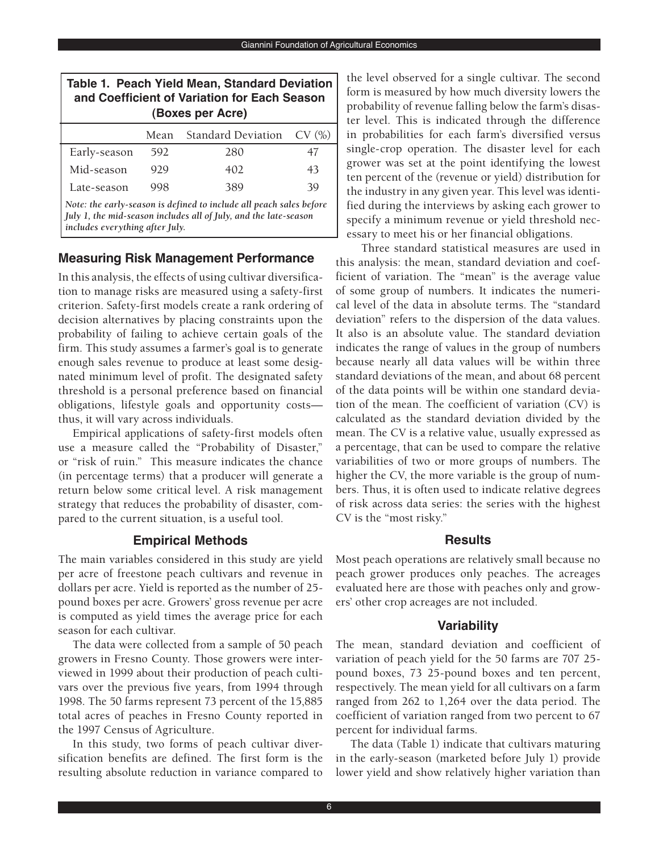| Table 1. Peach Yield Mean, Standard Deviation<br>and Coefficient of Variation for Each Season<br>(Boxes per Acre)                                    |      |                           |       |  |  |  |  |  |  |
|------------------------------------------------------------------------------------------------------------------------------------------------------|------|---------------------------|-------|--|--|--|--|--|--|
|                                                                                                                                                      | Mean | <b>Standard Deviation</b> | CV(%) |  |  |  |  |  |  |
| Early-season                                                                                                                                         | 592  | 280                       | 47    |  |  |  |  |  |  |
| Mid-season                                                                                                                                           | 929  | 402                       | 43    |  |  |  |  |  |  |
| Late-season                                                                                                                                          | 998  | 389                       | 39    |  |  |  |  |  |  |
| Note: the early-season is defined to include all peach sales before<br>July 1, the mid-season includes all of July, and the late-season<br>$11$ $11$ |      |                           |       |  |  |  |  |  |  |

*includes everything after July.*

### **Measuring Risk Management Performance**

In this analysis, the effects of using cultivar diversification to manage risks are measured using a safety-first criterion. Safety-first models create a rank ordering of decision alternatives by placing constraints upon the probability of failing to achieve certain goals of the firm. This study assumes a farmer's goal is to generate enough sales revenue to produce at least some designated minimum level of profit. The designated safety threshold is a personal preference based on financial obligations, lifestyle goals and opportunity costs thus, it will vary across individuals.

Empirical applications of safety-first models often use a measure called the "Probability of Disaster," or "risk of ruin." This measure indicates the chance (in percentage terms) that a producer will generate a return below some critical level. A risk management strategy that reduces the probability of disaster, compared to the current situation, is a useful tool.

### **Empirical Methods**

The main variables considered in this study are yield per acre of freestone peach cultivars and revenue in dollars per acre. Yield is reported as the number of 25 pound boxes per acre. Growers' gross revenue per acre is computed as yield times the average price for each season for each cultivar.

The data were collected from a sample of 50 peach growers in Fresno County. Those growers were interviewed in 1999 about their production of peach cultivars over the previous five years, from 1994 through 1998. The 50 farms represent 73 percent of the 15,885 total acres of peaches in Fresno County reported in the 1997 Census of Agriculture.

In this study, two forms of peach cultivar diversification benefits are defined. The first form is the resulting absolute reduction in variance compared to

the level observed for a single cultivar. The second form is measured by how much diversity lowers the probability of revenue falling below the farm's disaster level. This is indicated through the difference in probabilities for each farm's diversified versus single-crop operation. The disaster level for each grower was set at the point identifying the lowest ten percent of the (revenue or yield) distribution for the industry in any given year. This level was identified during the interviews by asking each grower to specify a minimum revenue or yield threshold necessary to meet his or her financial obligations.

Three standard statistical measures are used in this analysis: the mean, standard deviation and coefficient of variation. The "mean" is the average value of some group of numbers. It indicates the numerical level of the data in absolute terms. The "standard deviation" refers to the dispersion of the data values. It also is an absolute value. The standard deviation indicates the range of values in the group of numbers because nearly all data values will be within three standard deviations of the mean, and about 68 percent of the data points will be within one standard deviation of the mean. The coefficient of variation (CV) is calculated as the standard deviation divided by the mean. The CV is a relative value, usually expressed as a percentage, that can be used to compare the relative variabilities of two or more groups of numbers. The higher the CV, the more variable is the group of numbers. Thus, it is often used to indicate relative degrees of risk across data series: the series with the highest CV is the "most risky."

### **Results**

Most peach operations are relatively small because no peach grower produces only peaches. The acreages evaluated here are those with peaches only and growers' other crop acreages are not included.

## **Variability**

The mean, standard deviation and coefficient of variation of peach yield for the 50 farms are 707 25 pound boxes, 73 25-pound boxes and ten percent, respectively. The mean yield for all cultivars on a farm ranged from 262 to 1,264 over the data period. The coefficient of variation ranged from two percent to 67 percent for individual farms.

The data (Table 1) indicate that cultivars maturing in the early-season (marketed before July 1) provide lower yield and show relatively higher variation than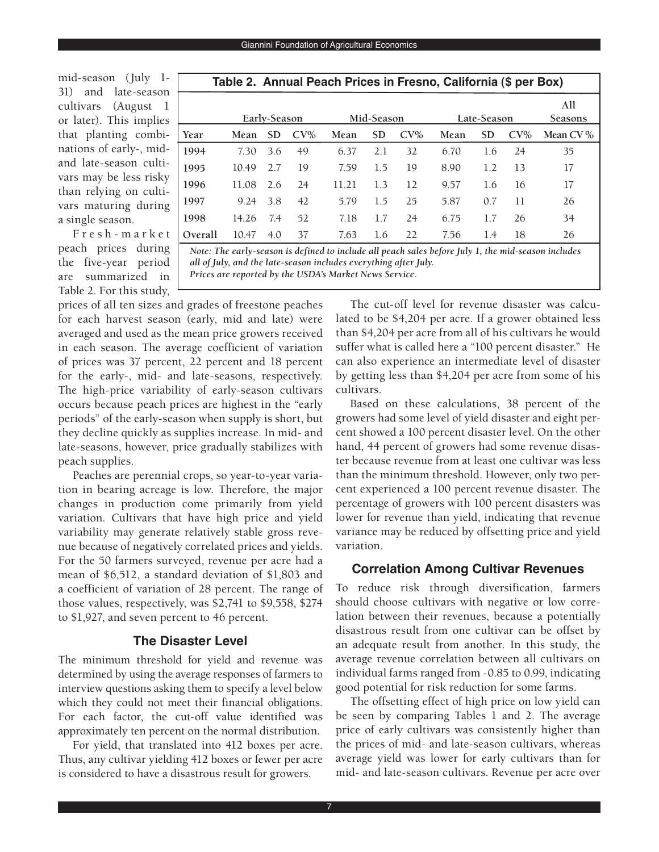mid-season (July 1- 31) and late-season cultivars (August 1 or later). This implies that planting combinations of early-, midand late-season cultivars may be less risky than relying on cultivars maturing during a single season.

F r e s h - m a r k e t peach prices during the five-year period are summarized in Table 2. For this study,

|         | Table 2.  Annual Peach Prices in Fresno, California (\$ per Box) |              |        |       |            |        |      |             |                |          |  |  |
|---------|------------------------------------------------------------------|--------------|--------|-------|------------|--------|------|-------------|----------------|----------|--|--|
|         |                                                                  | Early-Season |        |       | Mid-Season |        |      | Late-Season | All<br>Seasons |          |  |  |
| Year    | Mean                                                             | <b>SD</b>    | $CV\%$ | Mean  | <b>SD</b>  | $CV\%$ | Mean | SD          | $CV\%$         | Mean CV% |  |  |
| 1994    | 7.30                                                             | 3.6          | 49     | 6.37  | 2.1        | 32     | 6.70 | 1.6         | 24             | 35       |  |  |
| 1995    | 10.49                                                            | 2.7          | 19     | 7.59  | 1.5        | 19     | 8.90 | 1.2         | 13             | 17       |  |  |
| 1996    | 11.08                                                            | 2.6          | 24     | 11.21 | 1.3        | 12     | 9.57 | 1.6         | 16             | 17       |  |  |
| 1997    | 9.24                                                             | 3.8          | 42     | 5.79  | 1.5        | 25     | 5.87 | 0.7         | 11             | 26       |  |  |
| 1998    | 14.26                                                            | 7.4          | 52     | 7.18  | 1.7        | 24     | 6.75 | 1.7         | 26             | 34       |  |  |
| Overall | 10.47                                                            | 4.0          | 37     | 7.63  | 1.6        | 22     | 7.56 | 1.4         | 18             | 26       |  |  |

*Note: The early-season is defined to include all peach sales before July 1, the mid-season includes all of July, and the late-season includes everything after July. Prices are reported by the USDA's Market News Service.*

prices of all ten sizes and grades of freestone peaches for each harvest season (early, mid and late) were averaged and used as the mean price growers received in each season. The average coefficient of variation of prices was 37 percent, 22 percent and 18 percent for the early-, mid- and late-seasons, respectively. The high-price variability of early-season cultivars occurs because peach prices are highest in the "early periods" of the early-season when supply is short, but they decline quickly as supplies increase. In mid- and late-seasons, however, price gradually stabilizes with peach supplies.

Peaches are perennial crops, so year-to-year variation in bearing acreage is low. Therefore, the major changes in production come primarily from yield variation. Cultivars that have high price and yield variability may generate relatively stable gross revenue because of negatively correlated prices and yields. For the 50 farmers surveyed, revenue per acre had a mean of \$6,512, a standard deviation of \$1,803 and a coefficient of variation of 28 percent. The range of those values, respectively, was \$2,741 to \$9,558, \$274 to \$1,927, and seven percent to 46 percent.

### **The Disaster Level**

The minimum threshold for yield and revenue was determined by using the average responses of farmers to interview questions asking them to specify a level below which they could not meet their financial obligations. For each factor, the cut-off value identified was approximately ten percent on the normal distribution.

For yield, that translated into 412 boxes per acre. Thus, any cultivar yielding 412 boxes or fewer per acre is considered to have a disastrous result for growers.

The cut-off level for revenue disaster was calculated to be \$4,204 per acre. If a grower obtained less than \$4,204 per acre from all of his cultivars he would suffer what is called here a "100 percent disaster." He can also experience an intermediate level of disaster by getting less than \$4,204 per acre from some of his cultivars.

Based on these calculations, 38 percent of the growers had some level of yield disaster and eight percent showed a 100 percent disaster level. On the other hand, 44 percent of growers had some revenue disaster because revenue from at least one cultivar was less than the minimum threshold. However, only two percent experienced a 100 percent revenue disaster. The percentage of growers with 100 percent disasters was lower for revenue than yield, indicating that revenue variance may be reduced by offsetting price and yield variation.

### **Correlation Among Cultivar Revenues**

To reduce risk through diversification, farmers should choose cultivars with negative or low correlation between their revenues, because a potentially disastrous result from one cultivar can be offset by an adequate result from another. In this study, the average revenue correlation between all cultivars on individual farms ranged from -0.85 to 0.99, indicating good potential for risk reduction for some farms.

The offsetting effect of high price on low yield can be seen by comparing Tables 1 and 2. The average price of early cultivars was consistently higher than the prices of mid- and late-season cultivars, whereas average yield was lower for early cultivars than for mid- and late-season cultivars. Revenue per acre over